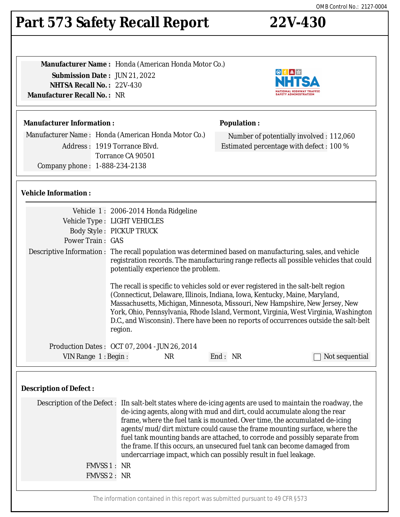# **Part 573 Safety Recall Report 22V-430**

**Manufacturer Name :** Honda (American Honda Motor Co.) **Submission Date :** JUN 21, 2022 **NHTSA Recall No. :** 22V-430 **Manufacturer Recall No. :** NR

## **Manufacturer Information :**

Manufacturer Name : Honda (American Honda Motor Co.) Address : 1919 Torrance Blvd. Torrance CA 90501 Company phone : 1-888-234-2138

## **Population :**

Number of potentially involved : 112,060 Estimated percentage with defect : 100 %

### **Vehicle Information :**

|                                                                                |                                                                                                                                                                                                                                                                                                                                                                                                                                                                                                                                                                                      | Vehicle 1: 2006-2014 Honda Ridgeline                                                                                                                                                                                                                                                                                                                                                                                                          |  |  |  |
|--------------------------------------------------------------------------------|--------------------------------------------------------------------------------------------------------------------------------------------------------------------------------------------------------------------------------------------------------------------------------------------------------------------------------------------------------------------------------------------------------------------------------------------------------------------------------------------------------------------------------------------------------------------------------------|-----------------------------------------------------------------------------------------------------------------------------------------------------------------------------------------------------------------------------------------------------------------------------------------------------------------------------------------------------------------------------------------------------------------------------------------------|--|--|--|
|                                                                                |                                                                                                                                                                                                                                                                                                                                                                                                                                                                                                                                                                                      | Vehicle Type : LIGHT VEHICLES                                                                                                                                                                                                                                                                                                                                                                                                                 |  |  |  |
|                                                                                |                                                                                                                                                                                                                                                                                                                                                                                                                                                                                                                                                                                      | <b>Body Style: PICKUP TRUCK</b>                                                                                                                                                                                                                                                                                                                                                                                                               |  |  |  |
|                                                                                | <b>Power Train: GAS</b>                                                                                                                                                                                                                                                                                                                                                                                                                                                                                                                                                              |                                                                                                                                                                                                                                                                                                                                                                                                                                               |  |  |  |
|                                                                                |                                                                                                                                                                                                                                                                                                                                                                                                                                                                                                                                                                                      | Descriptive Information : The recall population was determined based on manufacturing, sales, and vehicle<br>registration records. The manufacturing range reflects all possible vehicles that could<br>potentially experience the problem.                                                                                                                                                                                                   |  |  |  |
|                                                                                |                                                                                                                                                                                                                                                                                                                                                                                                                                                                                                                                                                                      | The recall is specific to vehicles sold or ever registered in the salt-belt region<br>(Connecticut, Delaware, Illinois, Indiana, Iowa, Kentucky, Maine, Maryland,<br>Massachusetts, Michigan, Minnesota, Missouri, New Hampshire, New Jersey, New<br>York, Ohio, Pennsylvania, Rhode Island, Vermont, Virginia, West Virginia, Washington<br>D.C., and Wisconsin). There have been no reports of occurrences outside the salt-belt<br>region. |  |  |  |
|                                                                                | Production Dates: 0CT 07, 2004 - JUN 26, 2014                                                                                                                                                                                                                                                                                                                                                                                                                                                                                                                                        |                                                                                                                                                                                                                                                                                                                                                                                                                                               |  |  |  |
|                                                                                | VIN Range 1: Begin:                                                                                                                                                                                                                                                                                                                                                                                                                                                                                                                                                                  | End: NR<br><b>NR</b><br>Not sequential                                                                                                                                                                                                                                                                                                                                                                                                        |  |  |  |
| <b>Description of Defect:</b>                                                  |                                                                                                                                                                                                                                                                                                                                                                                                                                                                                                                                                                                      |                                                                                                                                                                                                                                                                                                                                                                                                                                               |  |  |  |
|                                                                                | Description of the Defect: IIn salt-belt states where de-icing agents are used to maintain the roadway, the<br>de-icing agents, along with mud and dirt, could accumulate along the rear<br>frame, where the fuel tank is mounted. Over time, the accumulated de-icing<br>agents/mud/dirt mixture could cause the frame mounting surface, where the<br>fuel tank mounting bands are attached, to corrode and possibly separate from<br>the frame. If this occurs, an unsecured fuel tank can become damaged from<br>undercarriage impact, which can possibly result in fuel leakage. |                                                                                                                                                                                                                                                                                                                                                                                                                                               |  |  |  |
|                                                                                | FMVSS 1 : NR                                                                                                                                                                                                                                                                                                                                                                                                                                                                                                                                                                         |                                                                                                                                                                                                                                                                                                                                                                                                                                               |  |  |  |
|                                                                                | FMVSS 2: NR                                                                                                                                                                                                                                                                                                                                                                                                                                                                                                                                                                          |                                                                                                                                                                                                                                                                                                                                                                                                                                               |  |  |  |
|                                                                                |                                                                                                                                                                                                                                                                                                                                                                                                                                                                                                                                                                                      |                                                                                                                                                                                                                                                                                                                                                                                                                                               |  |  |  |
| The information contained in this report was submitted pursuant to 49 CFR §573 |                                                                                                                                                                                                                                                                                                                                                                                                                                                                                                                                                                                      |                                                                                                                                                                                                                                                                                                                                                                                                                                               |  |  |  |

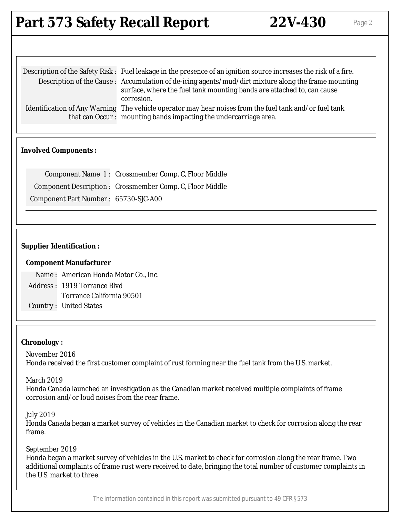# **Part 573 Safety Recall Report 22V-430** Page 2

| Description of the Safety Risk : Fuel leakage in the presence of an ignition source increases the risk of a fire. |
|-------------------------------------------------------------------------------------------------------------------|
| Description of the Cause: Accumulation of de-icing agents/mud/dirt mixture along the frame mounting               |
| surface, where the fuel tank mounting bands are attached to, can cause                                            |
| corrosion.                                                                                                        |
| Identification of Any Warning The vehicle operator may hear noises from the fuel tank and/or fuel tank            |
| that can Occur: mounting bands impacting the undercarriage area.                                                  |

#### **Involved Components :**

|                                      | Component Name 1: Crossmember Comp. C, Floor Middle      |
|--------------------------------------|----------------------------------------------------------|
|                                      | Component Description: Crossmember Comp. C, Floor Middle |
| Component Part Number: 65730-SJC-A00 |                                                          |

#### **Supplier Identification :**

#### **Component Manufacturer**

Name : American Honda Motor Co., Inc. Address : 1919 Torrance Blvd Torrance California 90501

Country : United States

#### **Chronology :**

November 2016 Honda received the first customer complaint of rust forming near the fuel tank from the U.S. market.

March 2019

Honda Canada launched an investigation as the Canadian market received multiple complaints of frame corrosion and/or loud noises from the rear frame.

July 2019

Honda Canada began a market survey of vehicles in the Canadian market to check for corrosion along the rear frame.

September 2019

Honda began a market survey of vehicles in the U.S. market to check for corrosion along the rear frame. Two additional complaints of frame rust were received to date, bringing the total number of customer complaints in the U.S. market to three.

The information contained in this report was submitted pursuant to 49 CFR §573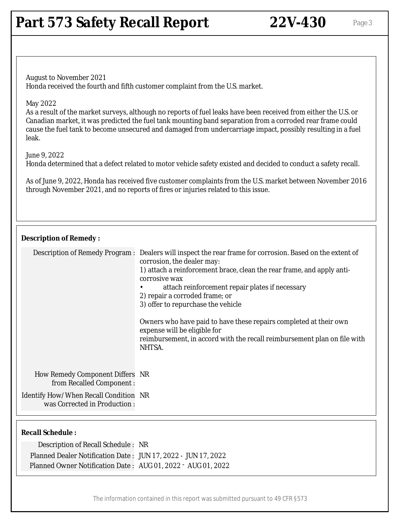## **Part 573 Safety Recall Report 22V-430** Page 3

August to November 2021 Honda received the fourth and fifth customer complaint from the U.S. market.

#### May 2022

As a result of the market surveys, although no reports of fuel leaks have been received from either the U.S. or Canadian market, it was predicted the fuel tank mounting band separation from a corroded rear frame could cause the fuel tank to become unsecured and damaged from undercarriage impact, possibly resulting in a fuel leak.

#### June 9, 2022

Honda determined that a defect related to motor vehicle safety existed and decided to conduct a safety recall.

As of June 9, 2022, Honda has received five customer complaints from the U.S. market between November 2016 through November 2021, and no reports of fires or injuries related to this issue.

#### **Description of Remedy :**

|                                                                              | Description of Remedy Program : Dealers will inspect the rear frame for corrosion. Based on the extent of<br>corrosion, the dealer may:<br>1) attach a reinforcement brace, clean the rear frame, and apply anti-<br>corrosive wax<br>attach reinforcement repair plates if necessary<br>2) repair a corroded frame; or<br>3) offer to repurchase the vehicle<br>Owners who have paid to have these repairs completed at their own<br>expense will be eligible for<br>reimbursement, in accord with the recall reimbursement plan on file with<br>NHTSA. |
|------------------------------------------------------------------------------|----------------------------------------------------------------------------------------------------------------------------------------------------------------------------------------------------------------------------------------------------------------------------------------------------------------------------------------------------------------------------------------------------------------------------------------------------------------------------------------------------------------------------------------------------------|
| <b>How Remedy Component Differs NR</b><br>from Recalled Component:           |                                                                                                                                                                                                                                                                                                                                                                                                                                                                                                                                                          |
| <b>Identify How/When Recall Condition NR</b><br>was Corrected in Production: |                                                                                                                                                                                                                                                                                                                                                                                                                                                                                                                                                          |

#### **Recall Schedule :**

| Description of Recall Schedule: NR                            |  |
|---------------------------------------------------------------|--|
| Planned Dealer Notification Date: JUN 17, 2022 - JUN 17, 2022 |  |
| Planned Owner Notification Date: AUG 01, 2022 - AUG 01, 2022  |  |

The information contained in this report was submitted pursuant to 49 CFR §573